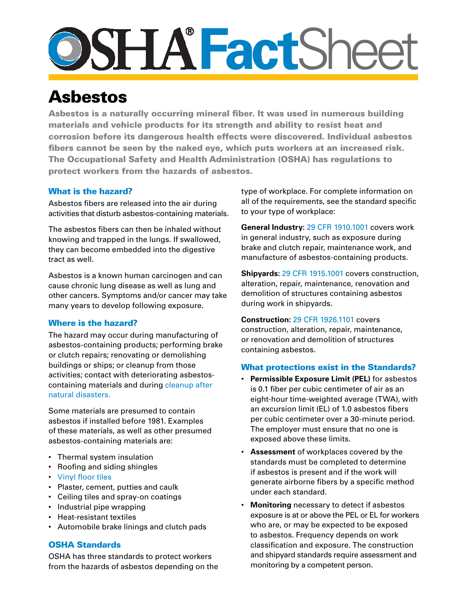# **Fact**Sheet

# Asbestos

Asbestos is a naturally occurring mineral fiber. It was used in numerous building materials and vehicle products for its strength and ability to resist heat and corrosion before its dangerous health effects were discovered. Individual asbestos fibers cannot be seen by the naked eye, which puts workers at an increased risk. The Occupational Safety and Health Administration (OSHA) has regulations to protect workers from the hazards of asbestos.

## What is the hazard?

Asbestos fibers are released into the air during activities that disturb asbestos-containing materials.

The asbestos fibers can then be inhaled without knowing and trapped in the lungs. If swallowed, they can become embedded into the digestive tract as well.

Asbestos is a known human carcinogen and can cause chronic lung disease as well as lung and other cancers. Symptoms and/or cancer may take many years to develop following exposure.

### Where is the hazard?

The hazard may occur during manufacturing of asbestos-containing products; performing brake or clutch repairs; renovating or demolishing buildings or ships; or cleanup from those activities; contact with deteriorating asbestoscontaining materials and during [cleanup after](https://www.osha.gov/OshDoc/data_Hurricane_Facts/AsbestosHazards.pdf)  [natural disasters.](https://www.osha.gov/OshDoc/data_Hurricane_Facts/AsbestosHazards.pdf)

Some materials are presumed to contain asbestos if installed before 1981. Examples of these materials, as well as other presumed asbestos-containing materials are:

- Thermal system insulation
- • Roofing and siding shingles
- • [Vinyl floor tiles](http://www.osha.gov/Publications/OSHA3693.pdf)
- • Plaster, cement, putties and caulk
- • Ceiling tiles and spray-on coatings
- • Industrial pipe wrapping
- • Heat-resistant textiles
- • Automobile brake linings and clutch pads

### OSHA Standards

OSHA has three standards to protect workers from the hazards of asbestos depending on the type of workplace. For complete information on all of the requirements, see the standard specific to your type of workplace:

**General Industry:** [29 CFR 1910.1001](https://www.osha.gov/pls/oshaweb/owadisp.show_document?p_table=standards&p_id=9995) covers work in general industry, such as exposure during brake and clutch repair, maintenance work, and manufacture of asbestos-containing products.

**Shipyards:** [29 CFR 1915.1001](https://www.osha.gov/pls/oshaweb/owadisp.show_document?p_table=STANDARDS&p_id=10287) covers construction, alteration, repair, maintenance, renovation and demolition of structures containing asbestos during work in shipyards.

**[Construction](http://www.osha.gov/Publications/osha3096.pdf):** [29 CFR 1926.1101](https://www.osha.gov/pls/oshaweb/owadisp.show_document?p_table=STANDARDS&p_id=10862) covers construction, alteration, repair, maintenance, or renovation and demolition of structures containing asbestos.

### What protections exist in the Standards?

- • **Permissible Exposure Limit (PEL)** for asbestos is 0.1 fiber per cubic centimeter of air as an eight-hour time-weighted average (TWA), with an excursion limit (EL) of 1.0 asbestos fibers per cubic centimeter over a 30-minute period. The employer must ensure that no one is exposed above these limits.
- • **Assessment** of workplaces covered by the standards must be completed to determine if asbestos is present and if the work will generate airborne fibers by a specific method under each standard.
- • **Monitoring** necessary to detect if asbestos exposure is at or above the PEL or EL for workers who are, or may be expected to be exposed to asbestos. Frequency depends on work classification and exposure. The construction and shipyard standards require assessment and monitoring by a competent person.